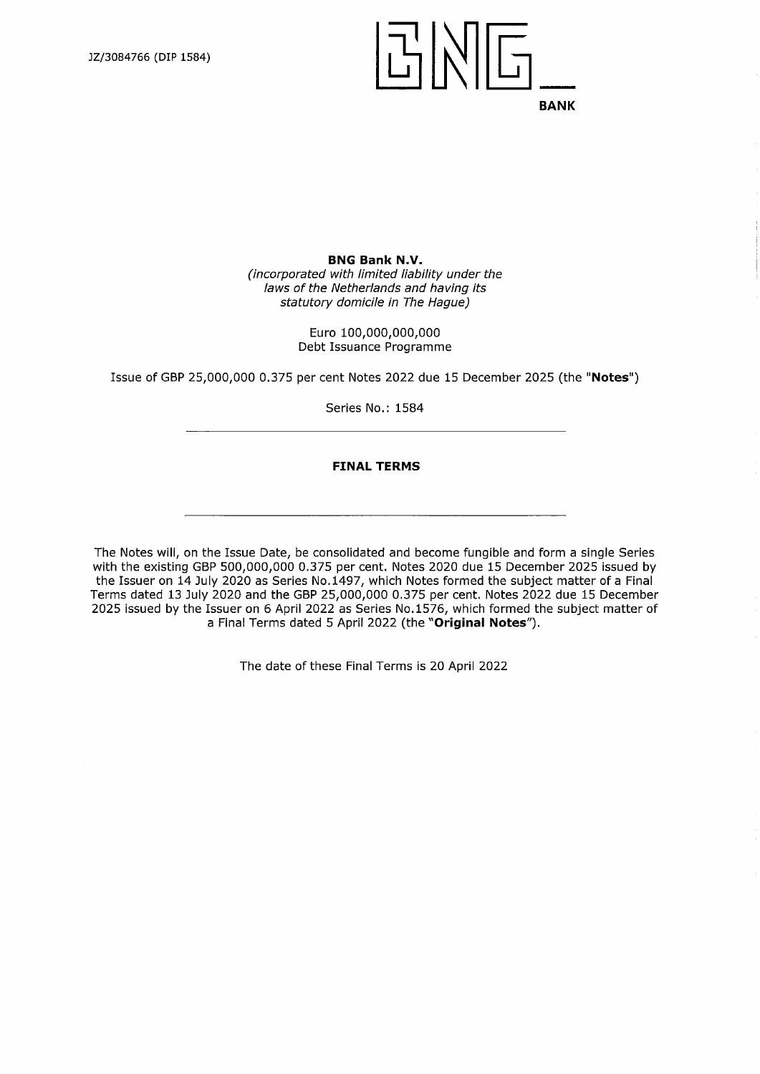$|\mathbb{F}|$ **BANK** 

**BNG Bank N.V.** *(incorporated with limited liability under the laws ofthe Netherlands and having its statutory domicile in The Hague)*

> Euro 100,000,000,000 Debt Issuance Programme

Issue of GBP 25,000,000 0.375 per cent Notes 2022 due 15 December 2025 (the **"Notes")**

Series No.: 1584

#### **FINAL TERMS**

The Notes will, on the Issue Date, be consolidated and become fungible and form a single Series with the existing GBP 500,000,000 0.375 per cent. Notes 2020 due 15 December 2025 issued by the Issuer on 14 July 2020 as Series No.1497, which Notes formed the subject matter of a Final Terms dated 13 July 2020 and the GBP 25,000,000 0.375 per cent. Notes 2022 due 15 December 2025 issued by the Issuer on 6 April 2022 as Series No. 1576, which formed the subject matter of a Final Terms dated 5 April 2022 (the **"Original Notes").**

The date of these Final Terms is 20 April 2022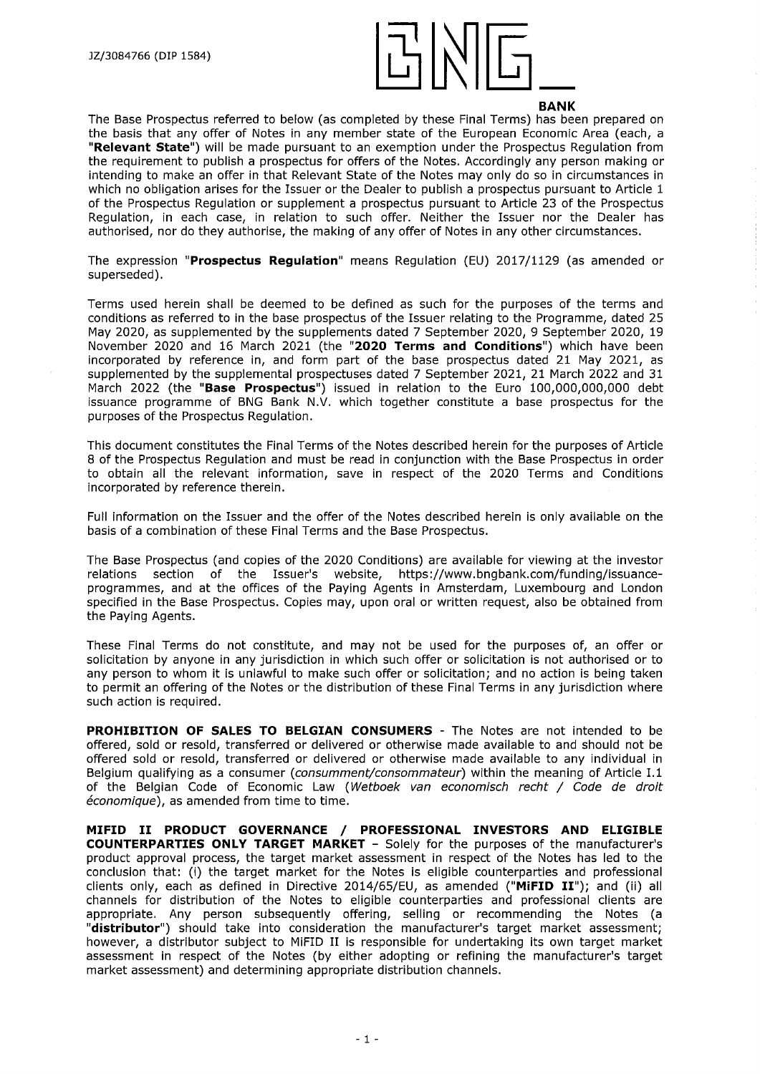

The Base Prospectus referred to below (as completed by these Final Terms) has been prepared on the basis that any offer of Notes in any member state of the European Economic Area (each, a **"Relevant State")** will be made pursuant to an exemption under the Prospectus Regulation from the requirement to publish a prospectus for offers of the Notes. Accordingly any person making or intending to make an offer in that Relevant State of the Notes may only do so in circumstances in which no obligation arises for the Issuer or the Dealer to publish a prospectus pursuant to Article 1 of the Prospectus Regulation or supplement a prospectus pursuant to Article 23 of the Prospectus Regulation, in each case, in relation to such offer. Neither the Issuer nor the Dealer has authorised, nor do they authorise, the making of any offer of Notes in any other circumstances.

The expression **"Prospectus Regulation"** means Regulation (ED) 2017/1129 (as amended or superseded).

Terms used herein shall be deemed to be defined as such for the purposes of the terms and conditions as referred to in the base prospectus of the Issuer relating to the Programme, dated 25 May 2020, as supplemented by the supplements dated 7 September 2020, 9 September 2020, 19 November 2020 and 16 March 2021 (the **"2020 Terms and Conditions")** which have been incorporated by reference in, and form part of the base prospectus dated 21 May 2021, as supplemented by the supplemental prospectuses dated 7 September 2021, 21 March 2022 and 31 March 2022 (the **"Base Prospectus")** issued in relation to the Euro 100,000,000,000 debt issuance programme of BNG Bank N.V. which together constitute a base prospectus for the purposes of the Prospectus Regulation.

This document constitutes the Final Terms of the Notes described herein for the purposes of Article 8 of the Prospectus Regulation and must be read in conjunction with the Base Prospectus in order to obtain all the relevant information, save in respect of the 2020 Terms and Conditions incorporated by reference therein.

Full information on the Issuer and the offer of the Notes described herein is only available on the basis of a combination of these Final Terms and the Base Prospectus.

The Base Prospectus (and copies of the 2020 Conditions) are available for viewing at the investor relations section of the Issuer's website, [https://www.bngbank.com/funding/issuance](https://www.bngbank.com/funding/issuance-programmes)[programmes](https://www.bngbank.com/funding/issuance-programmes), and at the offices of the Paying Agents in Amsterdam, Luxembourg and London specified in the Base Prospectus. Copies may, upon oral or written request, also be obtained from the Paying Agents.

These Final Terms do not constitute, and may not be used for the purposes of, an offer or solicitation by anyone in any jurisdiction in which such offer or solicitation is not authorised or to any person to whom it is unlawful to make such offer or solicitation; and no action is being taken to permit an offering of the Notes or the distribution of these Final Terms in any jurisdiction where such action is required.

**PROHIBITION OF SALES TO BELGIAN CONSUMERS** - The Notes are not intended to be offered, sold or resold, transferred or delivered or otherwise made available to and should not be offered sold or resold, transferred or delivered or otherwise made available to any individual in Belgium qualifying as a consumer *(consumment/consommateur)* within the meaning of Article 1.1 of the Belgian Code of Economic Law *(Wetboek van economisch recht / Code de droit economique),* as amended from time to time.

**MIFID II PRODUCT GOVERNANCE / PROFESSIONAL INVESTORS AND ELIGIBLE COUNTERPARTIES ONLY TARGET MARKET** - Solely for the purposes of the manufacturer's product approval process, the target market assessment in respect of the Notes has led to the conclusion that: (i) the target market for the Notes is eligible counterparties and professional clients only, each as defined in Directive 2014/65/EU, as amended **("MiFID II");** and (ii) all channels for distribution of the Notes to eligible counterparties and professional clients are appropriate. Any person subsequently offering, selling or recommending the Notes (a **"distributor")** should take into consideration the manufacturer's target market assessment; however, <sup>a</sup> distributor subject to MiFID II is responsible for undertaking its own target market assessment in respect of the Notes (by either adopting or refining the manufacturer's target market assessment) and determining appropriate distribution channels.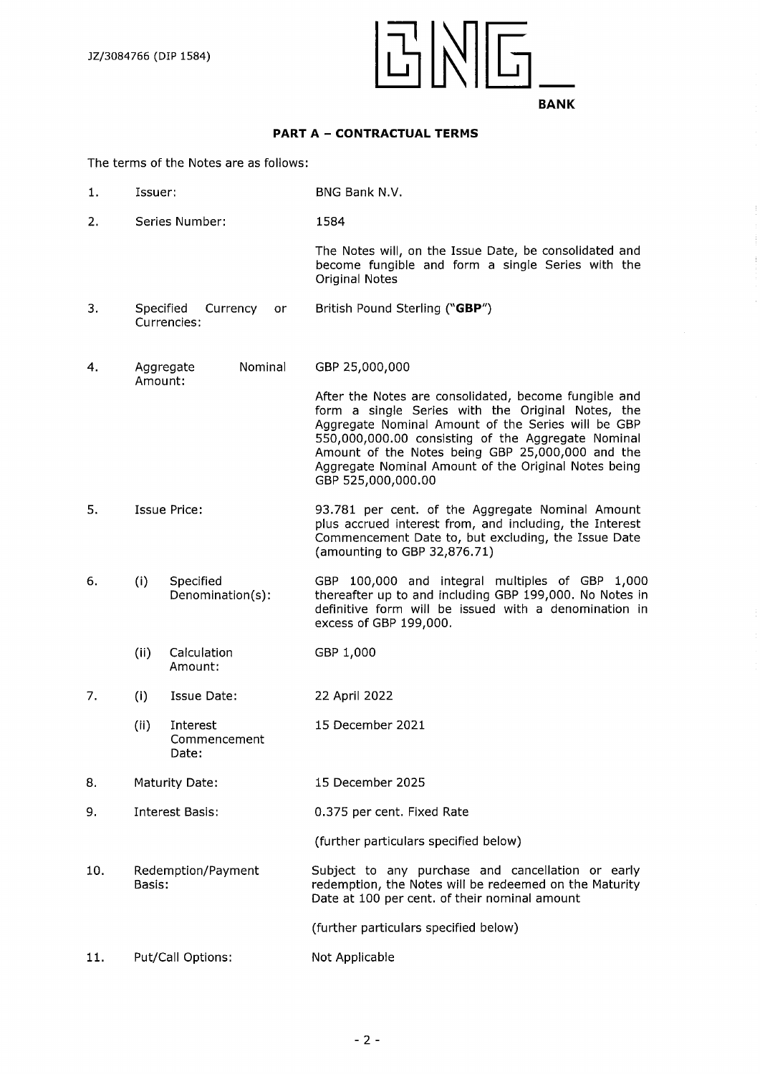

# **PART <sup>A</sup> - CONTRACTUAL TERMS**

The terms of the Notes are as follows:

- 1. Issuer: BNG Bank N.V.
- 2. Series Number: 1584

The Notes will, on the Issue Date, be consolidated and become fungible and form a single Series with the Original Notes

- 3. Specified Currency or British Pound Sterling **("GBP")** Currencies:
- 4. Aggregate Nominal GBP 25,000,000 Amount:

After the Notes are consolidated, become fungible and form a single Series with the Original Notes, the Aggregate Nominal Amount of the Series will be GBP 550,000,000.00 consisting of the Aggregate Nominal Amount of the Notes being GBP 25,000,000 and the Aggregate Nominal Amount of the Original Notes being GBP 525,000,000.00

- 5. Issue Price: 93.781 per cent, of the Aggregate Nominal Amount plus accrued interest from, and including, the Interest Commencement Date to, but excluding, the Issue Date (amounting to GBP 32,876.71)
- 6. (i) Specified Denomination(s): GBP 100,000 and integral multiples of GBP 1,000 thereafter up to and including GBP 199,000. No Notes in definitive form will be issued with a denomination in excess of GBP 199,000.
	- (ii) Calculation Amount: GBP 1,000
- 7. (i) Issue Date: 22 April 2022
	- (ii) Interest 15 December 2021 Commencement
- 8. Maturity Date: 15 December 2025
- 9. Interest Basis: 0.375 percent. Fixed Rate

(further particulars specified below)

10. Redemption/Payment Subject to any purchase and cancellation or early<br>Basis: Basis: edemption, the Notes will be redeemed on the Maturity

Date:

(further particulars specified below)

redemption, the Notes will be redeemed on the Maturity

Date at 100 per cent, of their nominal amount

**11.** Put/Call Options: Not Applicable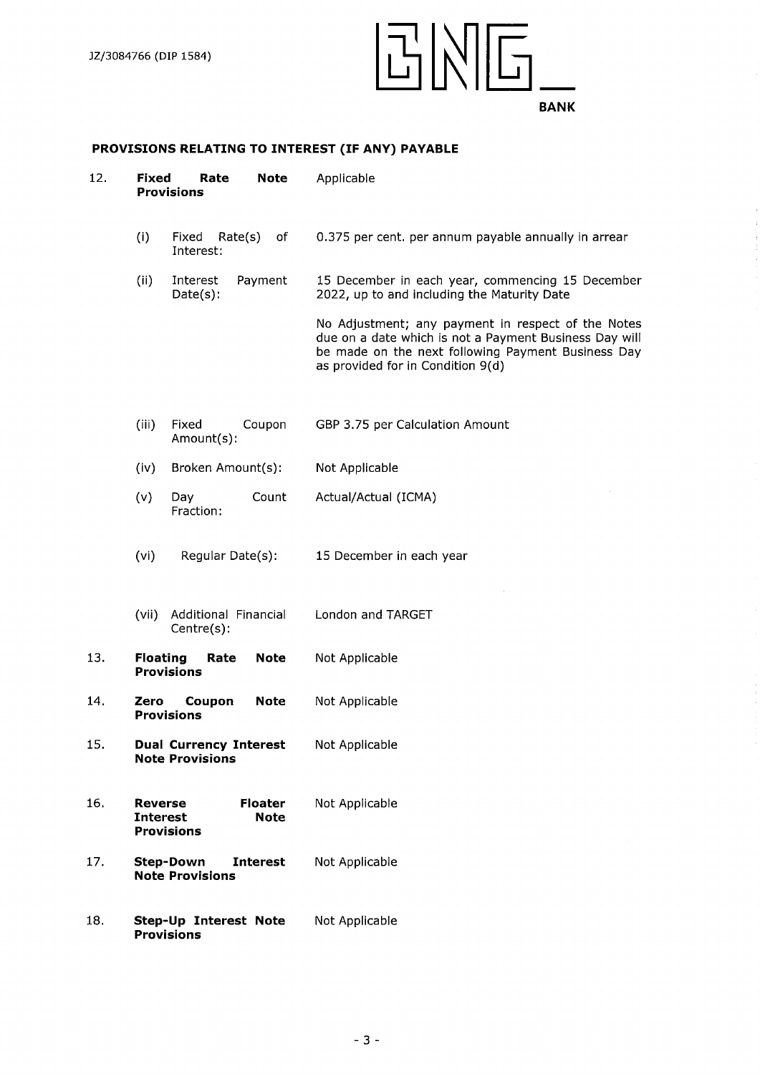

# **PROVISIONS RELATING TO INTEREST (IF ANY) PAYABLE**

| 12. | Fixed                             | Rate<br><b>Note</b><br><b>Provisions</b>                      | Applicable                                                                                                                                                                                              |
|-----|-----------------------------------|---------------------------------------------------------------|---------------------------------------------------------------------------------------------------------------------------------------------------------------------------------------------------------|
|     | (i)                               | Fixed<br>Rate(s)<br>оf<br>Interest:                           | 0.375 per cent. per annum payable annually in arrear                                                                                                                                                    |
|     | (ii)                              | Payment<br>Interest<br>Date(s):                               | 15 December in each year, commencing 15 December<br>2022, up to and including the Maturity Date                                                                                                         |
|     |                                   |                                                               | No Adjustment; any payment in respect of the Notes<br>due on a date which is not a Payment Business Day will<br>be made on the next following Payment Business Day<br>as provided for in Condition 9(d) |
|     | (iii)                             | Fixed<br>Coupon<br>Amount(s):                                 | GBP 3.75 per Calculation Amount                                                                                                                                                                         |
|     | (iv)                              | Broken Amount(s):                                             | Not Applicable                                                                                                                                                                                          |
|     | (v)                               | Count<br>Day<br>Fraction:                                     | Actual/Actual (ICMA)                                                                                                                                                                                    |
|     | (vi)                              | Regular Date(s):                                              | 15 December in each year                                                                                                                                                                                |
|     | (vii)                             | Additional Financial<br>Centre(s):                            | London and TARGET                                                                                                                                                                                       |
| 13. | <b>Floating</b>                   | <b>Note</b><br>Rate<br><b>Provisions</b>                      | Not Applicable                                                                                                                                                                                          |
| 14. | Zero                              | Coupon<br><b>Note</b><br><b>Provisions</b>                    | Not Applicable                                                                                                                                                                                          |
| 15. |                                   | <b>Dual Currency Interest</b><br><b>Note Provisions</b>       | Not Applicable                                                                                                                                                                                          |
| 16. | <b>Reverse</b><br><b>Interest</b> | Floater<br><b>Note</b><br><b>Provisions</b>                   | Not Applicable                                                                                                                                                                                          |
| 17. |                                   | <b>Interest</b><br><b>Step-Down</b><br><b>Note Provisions</b> | Not Applicable                                                                                                                                                                                          |
| 18. |                                   | Step-Up Interest Note<br><b>Provisions</b>                    | Not Applicable                                                                                                                                                                                          |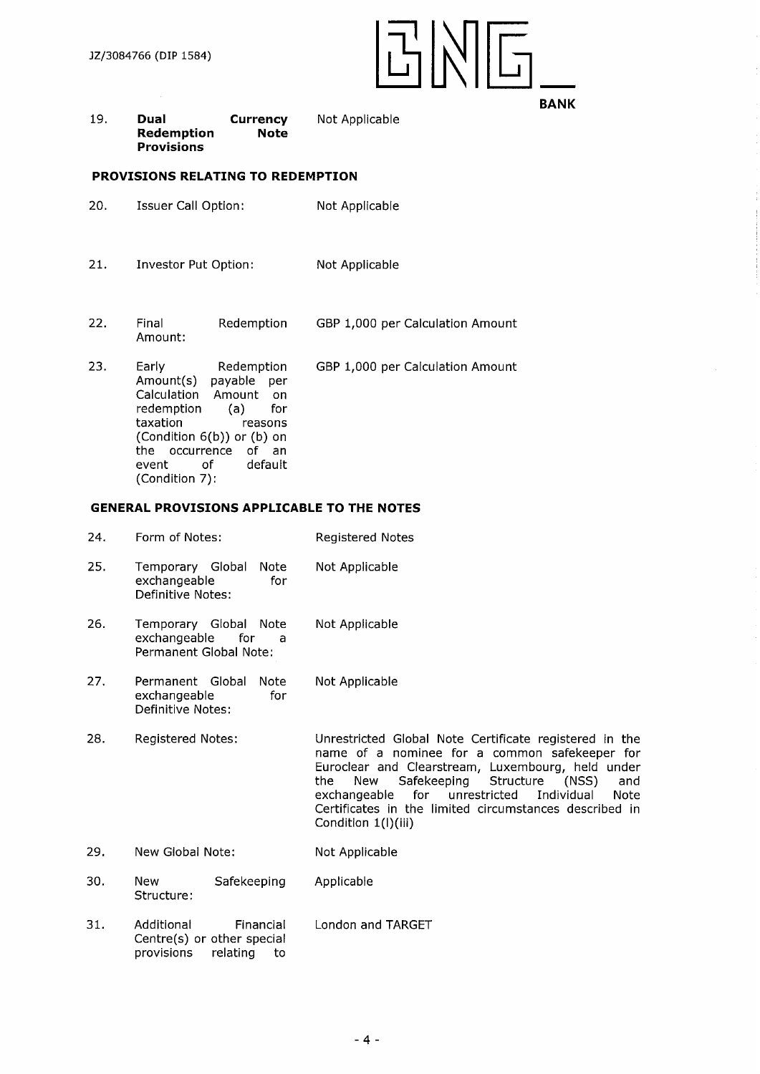

#### 19. **Dual Currency** Not Applicable **Redemption Provisions Note**

### **PROVISIONS RELATING TO REDEMPTION**

- 20. Issuer Call Option: Not Applicable
- 21. Investor Put Option: Not Applicable
- 22. Final Redemption Amount: GBP 1,000 per Calculation Amount

23. Early Redemption Amount(s) payable per Amount on redemption (a) for taxation reasons (Condition 6(b)) or (b) on the occurrence of an event of default (Condition 7): GBP 1,000 per Calculation Amount

# **GENERAL PROVISIONS APPLICABLE TO THE NOTES**

- 24. Form of Notes: Registered Notes 25. Temporary Global Note Not Applicable exchangeable for Definitive Notes:
- 26. Temporary Global Note Not-Applicable<br>exchangeable for a exchangeable for a Permanent Global Note:
- 27. Permanent Global Note Not Applicable exchangeable for Definitive Notes:
- 28. Registered Notes: Unrestricted Global Note Certificate registered in the name of a nominee for a common safekeeper for Euroclear and Clearstream, Luxembourg, held under<br>the New Safekeeping Structure (NSS) and Safekeeping Structure (NSS)<br>for unrestricted Individual exchangeable for unrestricted Individual Note Certificates in the limited circumstances described in Condition 1(l)(iii)
- 29. New Global Note: Not Applicable
- 30. New Safekeeping Applicable Structure:
- 31. Additional Financial London and TARGET Centre(s) or other special provisions relating to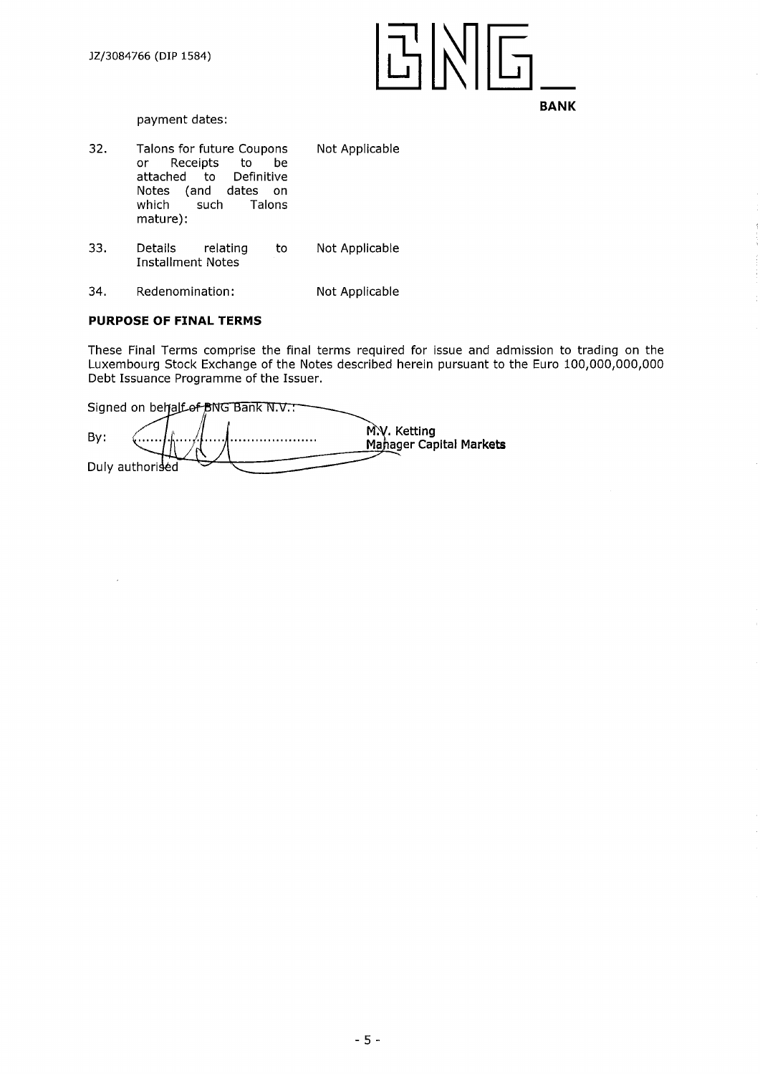

payment dates:

- 32. Talons for future Coupons Not Applicable<br>or Receipts to be Receipts to attached to Definitive Notes (and dates on<br>which such Talons Talons mature):
- 33. Details relating to Not Applicable Installment Notes
- 34. Redenomination: Not Applicable

# **PURPOSE OF FINAL TERMS**

These Final Terms comprise the final terms required for issue and admission to trading on the Luxembourg Stock Exchange of the Notes described herein pursuant to the Euro 100,000,000,000 Debt Issuance Programme of the Issuer.

|                 |  | Signed on behalf of BNG Bank N.V. |                                         |
|-----------------|--|-----------------------------------|-----------------------------------------|
| By:             |  |                                   | M.V. Ketting<br>Manager Capital Markets |
| Duly authorised |  |                                   |                                         |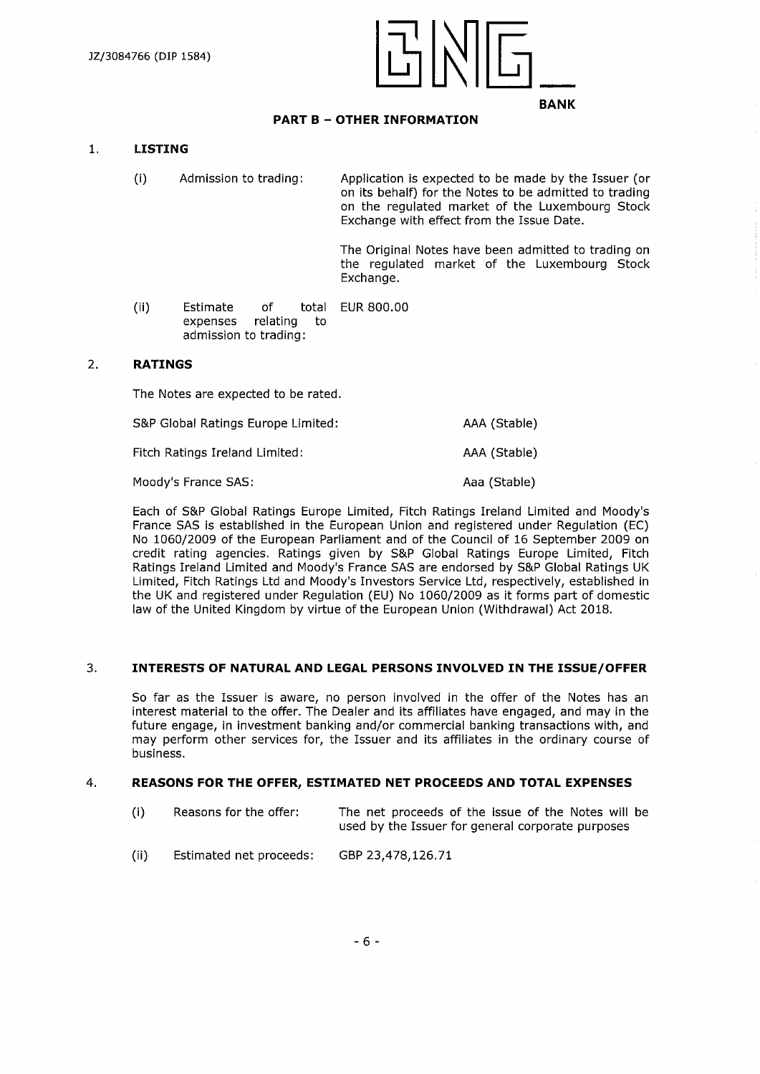

# **PART <sup>B</sup> - OTHER INFORMATION**

# **1. LISTING**

(i) Admission to trading: Application is expected to be made by the Issuer (or on its behalf) for the Notes to be admitted to trading on the regulated market of the Luxembourg Stock Exchange with effect from the Issue Date.

> The Original Notes have been admitted to trading on the regulated market of the Luxembourg Stock Exchange.

(ii) Estimate of total EUR 800.00 expenses relating to admission to trading:

#### 2. **RATINGS**

The Notes are expected to be rated.

S&P Global Ratings Europe Limited: AAA (Stable) Fitch Ratings Ireland Limited: AAA (Stable)

Moody's France SAS: Analytic Moody's France SAS: Analytic Moody's France SAS:

Each of S&P Global Ratings Europe Limited, Fitch Ratings Ireland Limited and Moody's France SAS is established in the European Union and registered under Regulation (EC) No 1060/2009 of the European Parliament and of the Council of 16 September 2009 on credit rating agencies. Ratings given by S&P Global Ratings Europe Limited, Fitch Ratings Ireland Limited and Moody's France SAS are endorsed by S&P Global Ratings UK Limited, Fitch Ratings Ltd and Moody's Investors Service Ltd, respectively, established in the UK and registered under Regulation (EU) No 1060/2009 as it forms part of domestic law of the United Kingdom by virtue of the European Union (Withdrawal) Act 2018.

### 3. **INTERESTS OF NATURAL AND LEGAL PERSONS INVOLVED IN THE ISSUE/OFFER**

So far as the Issuer is aware, no person involved in the offer of the Notes has an interest material to the offer. The Dealer and its affiliates have engaged, and may in the future engage, in investment banking and/or commercial banking transactions with, and may perform other services for, the Issuer and its affiliates in the ordinary course of business.

#### 4. **REASONS FOR THE OFFER, ESTIMATED NET PROCEEDS AND TOTAL EXPENSES**

| (i) | Reasons for the offer: | The net proceeds of the issue of the Notes will be |
|-----|------------------------|----------------------------------------------------|
|     |                        | used by the Issuer for general corporate purposes  |

(ii) Estimated net proceeds: GBP 23,478,126.71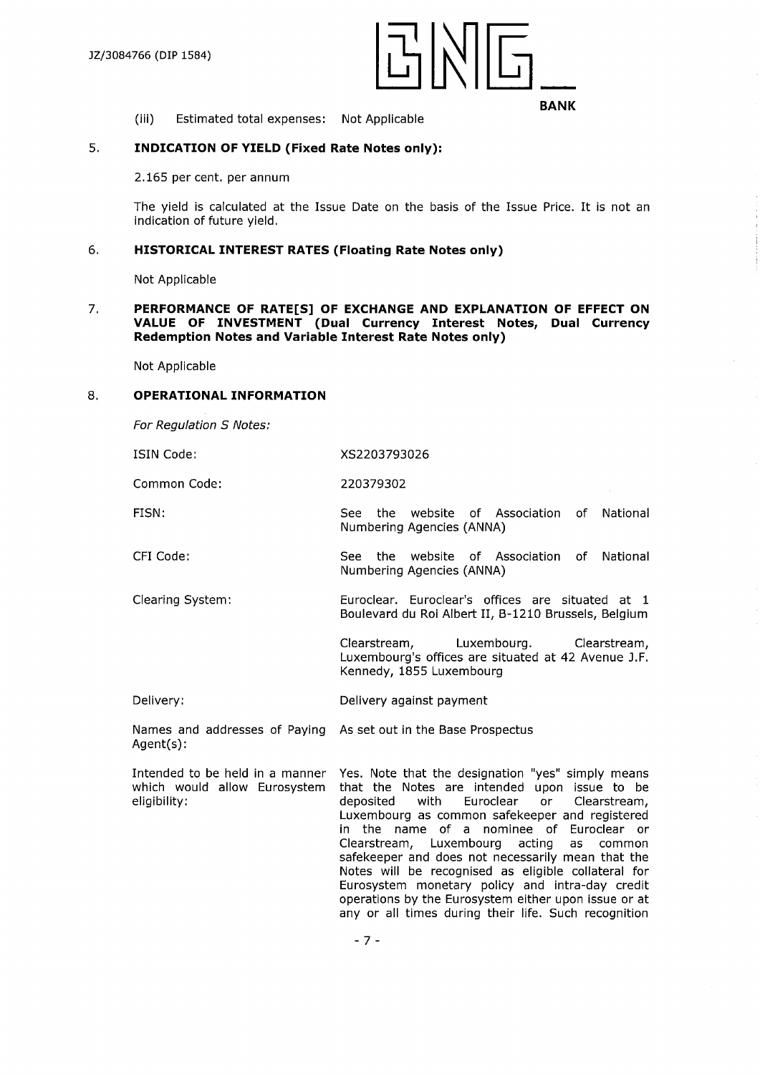

(iii) Estimated total expenses: Not Applicable

# 5. **INDICATION OF YIELD (Fixed Rate Notes only):**

2.165 per cent. per annum

The yield is calculated at the Issue Date on the basis of the Issue Price. It is not an indication of future yield.

# 6**. HISTORICAL INTEREST RATES (Floating Rate Notes only)**

Not Applicable

### 7. **PERFORMANCE OF RATE[S] OF EXCHANGE AND EXPLANATION OF EFFECT ON VALUE OF INVESTMENT (Dual Currency Interest Notes, Dual Currency Redemption Notes and Variable Interest Rate Notes only)**

Not Applicable

#### 8**. OPERATIONAL INFORMATION**

*For Regulation S Notes:*

| ISIN Code: | XS2203793026 |
|------------|--------------|
|            |              |

Common Code: 220379302

- FISN: See the website of Association of Numbering Agencies (ANNA) **National**
- CFI Code: See the website of Association of National Numbering Agencies (ANNA)
- Clearing System: Euroclear. Euroclear's offices are situated at <sup>1</sup> Boulevard du Roi Albert II, B-1210 Brussels, Belgium

Clearstream, Luxembourg. Clearstream, Luxembourg's offices are situated at 42 Avenue J.F. Kennedy, 1855 Luxembourg

Delivery: Delivery against payment

Names and addresses of Paying As set out in the Base Prospectus Agent(s):

Intended to be held in a manner which would allow Eurosystem eligibility:

Yes. Note that the designation "yes" simply means that the Notes are intended upon issue to be deposited with Euroclear or Clearstream, Luxembourg as common safekeeper and registered in the name of a nominee of Euroclear or Clearstream, Luxembourg acting as common safekeeper and does not necessarily mean that the Notes will be recognised as eligible collateral for Eurosystem monetary policy and intra-day credit operations by the Eurosystem either upon issue or at any or all times during their life. Such recognition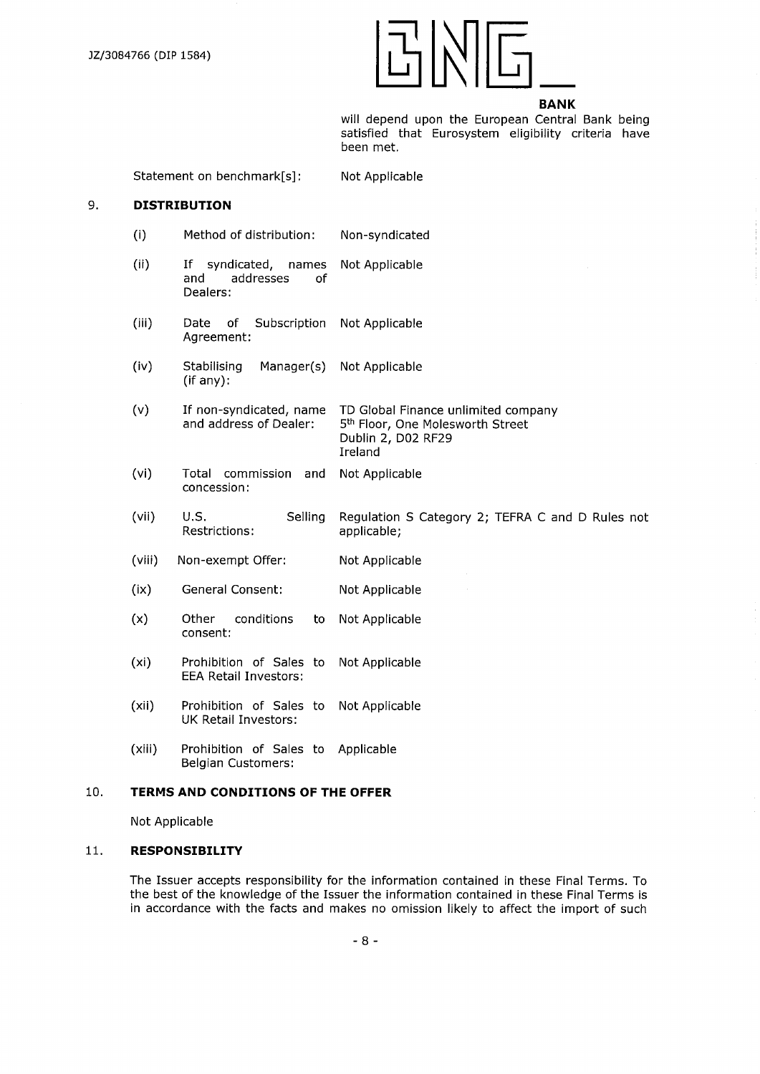

will depend upon the European Central Bank being satisfied that Eurosystem eligibility criteria have been met.

Statement on benchmark[s]:

Not Applicable

# 9. **DISTRIBUTION**

- (i) Method of distribution: Non-syndicated
- (ii) If syndicated, names<br>and addresses of addresses Dealers: Not Applicable
- (iii) Date of Subscription Agreement: Not Applicable
- (iv) Stabilising Manager(s) (if any): Not Applicable

(v) If non-syndicated, name and address of Dealer: TD Global Finance unlimited company 5<sup>th</sup> Floor, One Molesworth Street Dublin 2, D02 RF29 Ireland

- (Vi) Total commission and concession: Not Applicable
- (vii) U.S. Selling Restrictions: Regulation S Category 2; TEFRA C and D Rules not applicable;
- (viii) Non-exempt Offer: Not Applicable
- (ix) General Consent: Not Applicable
- (x) Other conditions to consent: Not Applicable
- (xi) Prohibition of Sales to EEA Retail Investors: Not Applicable
- (xii) Prohibition of Sales to UK Retail Investors: Not Applicable
- (xiii) Prohibition of Sales to Applicable Belgian Customers:

#### 10. **TERMS AND CONDITIONS OF THE OFFER**

Not Applicable

# 11. **RESPONSIBILITY**

The Issuer accepts responsibility for the information contained in these Final Terms. To the best of the knowledge of the Issuer the information contained in these Final Terms is in accordance with the facts and makes no omission likely to affect the import of such